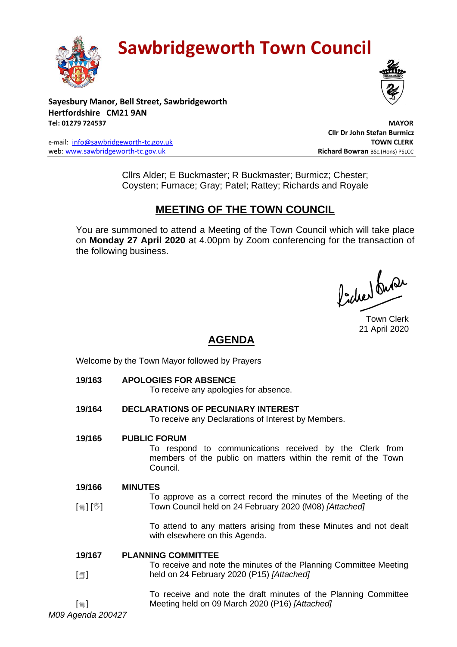

# **Sawbridgeworth Town Council**

**Sayesbury Manor, Bell Street, Sawbridgeworth Hertfordshire CM21 9AN Tel: 01279 724537 MAYOR**

e-mail: [info@sawbridgeworth-tc.gov.uk](mailto:info@sawbridgeworth-tc.gov.uk) **TOWN CLERK** web: www.sawbridgeworth-tc.gov.uk<br> **Richard Bowran** BSc.(Hons) PSLCC

 **Cllr Dr John Stefan Burmicz**

Cllrs Alder; E Buckmaster; R Buckmaster; Burmicz; Chester; Coysten; Furnace; Gray; Patel; Rattey; Richards and Royale

# **MEETING OF THE TOWN COUNCIL**

You are summoned to attend a Meeting of the Town Council which will take place on **Monday 27 April 2020** at 4.00pm by Zoom conferencing for the transaction of the following business.

Procher buran

Town Clerk 21 April 2020

# **AGENDA**

Welcome by the Town Mayor followed by Prayers

**19/163 APOLOGIES FOR ABSENCE**

To receive any apologies for absence.

- **19/164 DECLARATIONS OF PECUNIARY INTEREST** To receive any Declarations of Interest by Members.
- **19/165 PUBLIC FORUM**

To respond to communications received by the Clerk from members of the public on matters within the remit of the Town Council.

#### **19/166 MINUTES**

 $\mathbb{I}$  [ $\mathbb{I}$ ] To approve as a correct record the minutes of the Meeting of the Town Council held on 24 February 2020 (M08) *[Attached]*

> To attend to any matters arising from these Minutes and not dealt with elsewhere on this Agenda.

#### **19/167 PLANNING COMMITTEE**

 $\Box$ To receive and note the minutes of the Planning Committee Meeting held on 24 February 2020 (P15) *[Attached]*

> To receive and note the draft minutes of the Planning Committee Meeting held on 09 March 2020 (P16) *[Attached]*

*M09 Agenda 200427*  $\lceil$  $\blacksquare$